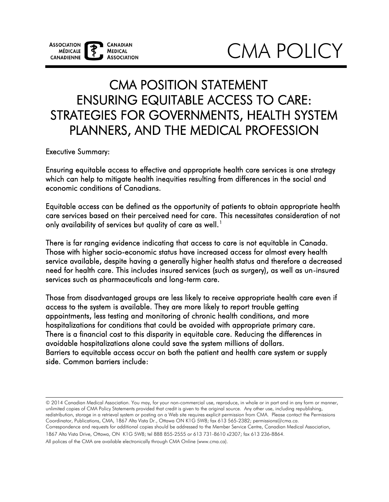# CMA POLICY

## CMA POSITION STATEMENT ENSURING EQUITABLE ACCESS TO CARE: STRATEGIES FOR GOVERNMENTS, HEALTH SYSTEM PLANNERS, AND THE MEDICAL PROFESSION

Executive Summary:

 Ensuring equitable access to effective and appropriate health care services is one strategy which can help to mitigate health inequities resulting from differences in the social and economic conditions of Canadians.

 Equitable access can be defined as the opportunity of patients to obtain appropriate health care services based on their perceived need for care. This necessitates consideration of not only availability of services but quality of care as well. $^{\rm 1}$ 

 There is far ranging evidence indicating that access to care is not equitable in Canada. Those with higher socio-economic status have increased access for almost every health service available, despite having a generally higher health status and therefore a decreased need for health care. This includes insured services (such as surgery), as well as un-insured services such as pharmaceuticals and long-term care.

 Those from disadvantaged groups are less likely to receive appropriate health care even if access to the system is available. They are more likely to report trouble getting appointments, less testing and monitoring of chronic health conditions, and more hospitalizations for conditions that could be avoided with appropriate primary care. There is a financial cost to this disparity in equitable care. Reducing the differences in avoidable hospitalizations alone could save the system millions of dollars. Barriers to equitable access occur on both the patient and health care system or supply side. Common barriers include:

© 2014 Canadian Medical Association. You may, for your non-commercial use, reproduce, in whole or in part and in any form or manner, unlimited copies of CMA Policy Statements provided that credit is given to the original source. Any other use, including republishing, redistribution, storage in a retrieval system or posting on a Web site requires explicit permission from CMA. Please contact the Permissions Coordinator, Publications, CMA, 1867 Alta Vista Dr., Ottawa ON K1G 5W8; fax 613 565-2382; permissions@cma.ca.

Correspondence and requests for additional copies should be addressed to the Member Service Centre, Canadian Medical Association, 1867 Alta Vista Drive, Ottawa, ON K1G 5W8; tel 888 855-2555 or 613 731-8610 x2307; fax 613 236-8864.

All polices of the CMA are available electronically through CMA Online (www.cma.ca).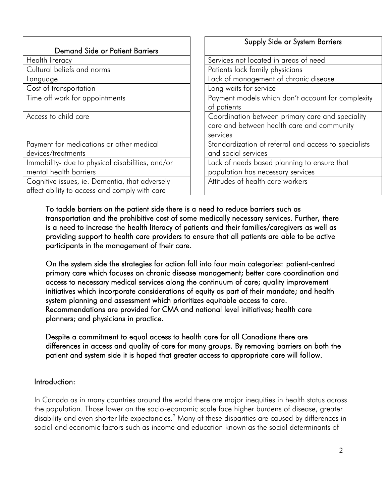|                                                  | <b>Supply Side or System Barriers</b>                 |
|--------------------------------------------------|-------------------------------------------------------|
| <b>Demand Side or Patient Barriers</b>           |                                                       |
| Health literacy                                  | Services not located in areas of need                 |
| Cultural beliefs and norms                       | Patients lack family physicians                       |
| Language                                         | Lack of management of chronic disease                 |
| Cost of transportation                           | Long waits for service                                |
| Time off work for appointments                   | Payment models which don't account for complexity     |
|                                                  | of patients                                           |
| Access to child care                             | Coordination between primary care and speciality      |
|                                                  | care and between health care and community            |
|                                                  | services                                              |
| Payment for medications or other medical         | Standardization of referral and access to specialists |
| devices/treatments                               | and social services                                   |
| Immobility- due to physical disabilities, and/or | Lack of needs based planning to ensure that           |
| mental health barriers                           | population has necessary services                     |
| Cognitive issues, ie. Dementia, that adversely   | Attitudes of health care workers                      |
| affect ability to access and comply with care    |                                                       |

 To tackle barriers on the patient side there is a need to reduce barriers such as transportation and the prohibitive cost of some medically necessary services. Further, there is a need to increase the health literacy of patients and their families/caregivers as well as providing support to health care providers to ensure that all patients are able to be active participants in the management of their care.

 On the system side the strategies for action fall into four main categories: patient-centred primary care which focuses on chronic disease management; better care coordination and access to necessary medical services along the continuum of care; quality improvement initiatives which incorporate considerations of equity as part of their mandate; and health system planning and assessment which prioritizes equitable access to care. Recommendations are provided for CMA and national level initiatives; health care planners; and physicians in practice.

 Despite a commitment to equal access to health care for all Canadians there are differences in access and quality of care for many groups. By removing barriers on both the patient and system side it is hoped that greater access to appropriate care will follow.

#### Introduction:

In Canada as in many countries around the world there are major inequities in health status across the population. Those lower on the socio-economic scale face higher burdens of disease, greater disability and even shorter life expectancies.<sup>2</sup> Many of these disparities are caused by differences in social and economic factors such as income and education known as the social determinants of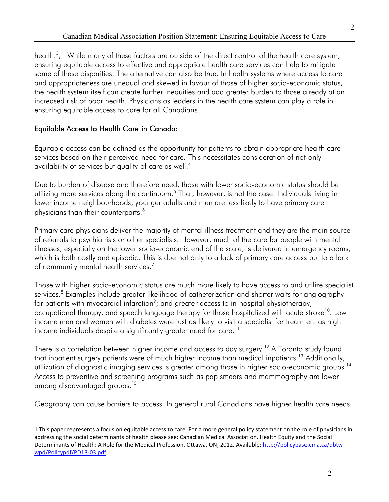health.<sup>3</sup>,1 While many of these factors are outside of the direct control of the health care system, ensuring equitable access to effective and appropriate health care services can help to mitigate some of these disparities. The alternative can also be true. In health systems where access to care and appropriateness are unequal and skewed in favour of those of higher socio-economic status, the health system itself can create further inequities and add greater burden to those already at an increased risk of poor health. Physicians as leaders in the health care system can play a role in ensuring equitable access to care for all Canadians.

#### Equitable Access to Health Care in Canada:

availability of services but quality of care as well. $^4$ Equitable access can be defined as the opportunity for patients to obtain appropriate health care services based on their perceived need for care. This necessitates consideration of not only

physicians than their counterparts. $^6$ Due to burden of disease and therefore need, those with lower socio-economic status should be utilizing more services along the continuum.<sup>5</sup> That, however, is not the case. Individuals living in lower income neighbourhoods, younger adults and men are less likely to have primary care

 which is both costly and episodic. This is due not only to a lack of primary care access but to a lack of community mental health services. $^7$ Primary care physicians deliver the majority of mental illness treatment and they are the main source of referrals to psychiatrists or other specialists. However, much of the care for people with mental illnesses, especially on the lower socio-economic end of the scale, is delivered in emergency rooms,

Those with higher socio-economic status are much more likely to have access to and utilize specialist services.<sup>8</sup> Examples include greater likelihood of catheterization and shorter waits for angiography for patients with myocardial infarction $\degree$ ; and greater access to in-hospital physiotherapy, occupational therapy, and speech language therapy for those hospitalized with acute stroke<sup>10</sup>. Low income men and women with diabetes were just as likely to visit a specialist for treatment as high income individuals despite a significantly greater need for care.<sup>11</sup>

among disadvantaged groups.<sup>15</sup> There is a correlation between higher income and access to day surgery.<sup>12</sup> A Toronto study found that inpatient surgery patients were of much higher income than medical inpatients.<sup>13</sup> Additionally, utilization of diagnostic imaging services is greater among those in higher socio-economic groups.<sup>14</sup> Access to preventive and screening programs such as pap smears and mammography are lower

Geography can cause barriers to access. In general rural Canadians have higher health care needs

 $\overline{a}$  [wpd/Policypdf/PD13-03.pdf](http://policybase.cma.ca/dbtw-wpd/Policypdf/PD13-03.pdf) 1 This paper represents a focus on equitable access to care. For a more general policy statement on the role of physicians in addressing the social determinants of health please see: Canadian Medical Association. Health Equity and the Social Determinants of Health: A Role for the Medical Profession. Ottawa, ON; 2012. Available[: http://policybase.cma.ca/dbtw-](http://policybase.cma.ca/dbtw-wpd/Policypdf/PD13-03.pdf)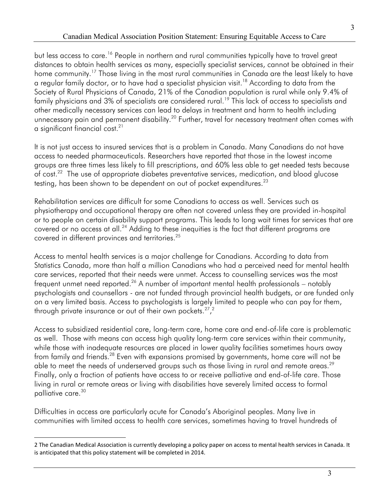but less access to care.<sup>16</sup> People in northern and rural communities typically have to travel great distances to obtain health services as many, especially specialist services, cannot be obtained in their home community.<sup>17</sup> Those living in the most rural communities in Canada are the least likely to have a regular family doctor, or to have had a specialist physician visit.<sup>18</sup> According to data from the Society of Rural Physicians of Canada, 21% of the Canadian population is rural while only 9.4% of family physicians and 3% of specialists are considered rural.<sup>19</sup> This lack of access to specialists and other medically necessary services can lead to delays in treatment and harm to health including unnecessary pain and permanent disability.<sup>20</sup> Further, travel for necessary treatment often comes with a significant financial cost[.21](#page-14-5) 

of cost.<sup>22</sup> The use of appropriate diabetes preventative services, medication, and blood glucose testing, has been shown to be dependent on out of pocket expenditures. $^{23}$ It is not just access to insured services that is a problem in Canada. Many Canadians do not have access to needed pharmaceuticals. Researchers have reported that those in the lowest income groups are three times less likely to fill prescriptions, and 60% less able to get needed tests because

Rehabilitation services are difficult for some Canadians to access as well. Services such as physiotherapy and occupational therapy are often not covered unless they are provided in-hospital or to people on certain disability support programs. This leads to long wait times for services that are covered or no access at all.<sup>24</sup> Adding to these inequities is the fact that different programs are covered in different provinces and territories[.25](#page-14-9) 

through private insurance or out of their own pockets. $27,2$ Access to mental health services is a major challenge for Canadians. According to data from Statistics Canada, more than half a million Canadians who had a perceived need for mental health care services, reported that their needs were unmet. Access to counselling services was the most frequent unmet need reported.<sup>26</sup> A number of important mental health professionals – notably psychologists and counsellors - are not funded through provincial health budgets, or are funded only on a very limited basis. Access to psychologists is largely limited to people who can pay for them,

through private insurance or out of their own pockets.<sup>27</sup>,<sup>2</sup><br>Access to subsidized residential care, long-term care, home care and end-of-life care is problematic as well. Those with means can access high quality long-term care services within their community, while those with inadequate resources are placed in lower quality facilities sometimes hours away from family and friends[.28](#page-14-12) Even with expansions promised by governments, home care will not be able to meet the needs of underserved groups such as those living in rural and remote areas.<sup>29</sup> Finally, only a fraction of patients have access to or receive palliative and end-of-life care. Those living in rural or remote areas or living with disabilities have severely limited access to formal palliative care.<sup>30</sup>

Difficulties in access are particularly acute for Canada's Aboriginal peoples. Many live in communities with limited access to health care services, sometimes having to travel hundreds of

 $\overline{a}$ 2 The Canadian Medical Association is currently developing a policy paper on access to mental health services in Canada. It is anticipated that this policy statement will be completed in 2014.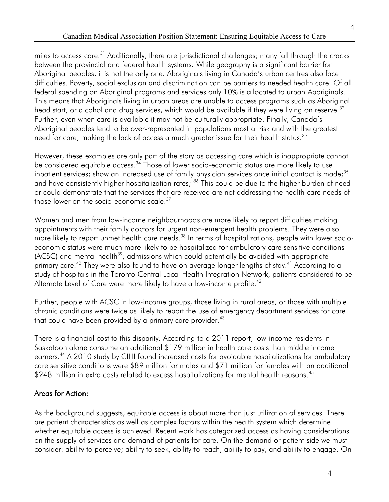4

miles to access care.<sup>31</sup> Additionally, there are jurisdictional challenges; many fall through the cracks between the provincial and federal health systems. While geography is a significant barrier for Aboriginal peoples, it is not the only one. Aboriginals living in Canada's urban centres also face difficulties. Poverty, social exclusion and discrimination can be barriers to needed health care. Of all federal spending on Aboriginal programs and services only 10% is allocated to urban Aboriginals. This means that Aboriginals living in urban areas are unable to access programs such as Aboriginal head start, or alcohol and drug services, which would be available if they were living on reserve.<sup>32</sup> Further, even when care is available it may not be culturally appropriate. Finally, Canada's Aboriginal peoples tend to be over-represented in populations most at risk and with the greatest need for care, making the lack of access a much greater issue for their health status.<sup>33</sup>

 However, these examples are only part of the story as accessing care which is inappropriate cannot be considered equitable access.<sup>34</sup> Those of lower socio-economic status are more likely to use those lower on the socio-economic scale. $^{\rm 37}$ inpatient services; show an increased use of family physician services once initial contact is made;<sup>35</sup> and have consistently higher hospitalization rates; <sup>36</sup> This could be due to the higher burden of need or could demonstrate that the services that are received are not addressing the health care needs of

Women and men from low-income neighbourhoods are more likely to report difficulties making appointments with their family doctors for urgent non-emergent health problems. They were also more likely to report unmet health care needs.<sup>38</sup> In terms of hospitalizations, people with lower socioeconomic status were much more likely to be hospitalized for ambulatory care sensitive conditions  $(ACSC)$  and mental health<sup>39</sup>; admissions which could potentially be avoided with appropriate primary care.<sup>40</sup> They were also found to have on average longer lengths of stay.<sup>41</sup> According to a study of hospitals in the Toronto Central Local Health Integration Network, patients considered to be Alternate Level of Care were more likely to have a low-income profile.<sup>42</sup>

that could have been provided by a primary care provider. $^{43}$ Further, people with ACSC in low-income groups, those living in rural areas, or those with multiple chronic conditions were twice as likely to report the use of emergency department services for care

There is a financial cost to this disparity. According to a 2011 report, low-income residents in Saskatoon alone consume an additional \$179 million in health care costs than middle income earners.<sup>44</sup> A 2010 study by CIHI found increased costs for avoidable hospitalizations for ambulatory care sensitive conditions were \$89 million for males and \$71 million for females with an additional \$248 million in extra costs related to excess hospitalizations for mental health reasons.<sup>45</sup>

#### Areas for Action:

As the background suggests, equitable access is about more than just utilization of services. There are patient characteristics as well as complex factors within the health system which determine whether equitable access is achieved. Recent work has categorized access as having considerations on the supply of services and demand of patients for care. On the demand or patient side we must consider: ability to perceive; ability to seek, ability to reach, ability to pay, and ability to engage. On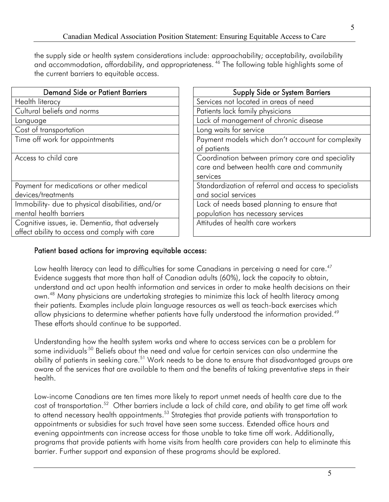the supply side or health system considerations include: approachability; acceptability, availability and accommodation, affordability, and appropriateness.<sup>46</sup> The following table highlights some of the current barriers to equitable access.

| <b>Demand Side or Patient Barriers</b>           | <b>Supply Side or System Barriers</b>                 |
|--------------------------------------------------|-------------------------------------------------------|
| Health literacy                                  | Services not located in areas of need                 |
| Cultural beliefs and norms                       | Patients lack family physicians                       |
| Language                                         | Lack of management of chronic disease                 |
| Cost of transportation                           | Long waits for service                                |
| Time off work for appointments                   | Payment models which don't account for complexity     |
|                                                  | of patients                                           |
| Access to child care                             | Coordination between primary care and speciality      |
|                                                  | care and between health care and community            |
|                                                  | services                                              |
| Payment for medications or other medical         | Standardization of referral and access to specialists |
| devices/treatments                               | and social services                                   |
| Immobility- due to physical disabilities, and/or | Lack of needs based planning to ensure that           |
| mental health barriers                           | population has necessary services                     |
| Cognitive issues, ie. Dementia, that adversely   | Attitudes of health care workers                      |
| affect ability to access and comply with care    |                                                       |

#### Patient based actions for improving equitable access:

own.<sup>48</sup> Many physicians are undertaking strategies to minimize this lack of health literacy among allow physicians to determine whether patients have fully understood the information provided.<sup>49</sup> Low health literacy can lead to difficulties for some Canadians in perceiving a need for care.<sup>47</sup> Evidence suggests that more than half of Canadian adults (60%), lack the capacity to obtain, understand and act upon health information and services in order to make health decisions on their their patients. Examples include plain language resources as well as teach-back exercises which These efforts should continue to be supported.

some individuals<sup>.50</sup> Beliefs about the need and value for certain services can also undermine the Understanding how the health system works and where to access services can be a problem for ability of patients in seeking care.<sup>51</sup> Work needs to be done to ensure that disadvantaged groups are aware of the services that are available to them and the benefits of taking preventative steps in their health.

cost of transportation.<sup>52</sup> Other barriers include a lack of child care, and ability to get time off work Low-income Canadians are ten times more likely to report unmet needs of health care due to the to attend necessary health appointments.<sup>53</sup> Strategies that provide patients with transportation to appointments or subsidies for such travel have seen some success. Extended office hours and evening appointments can increase access for those unable to take time off work. Additionally, programs that provide patients with home visits from health care providers can help to eliminate this barrier. Further support and expansion of these programs should be explored.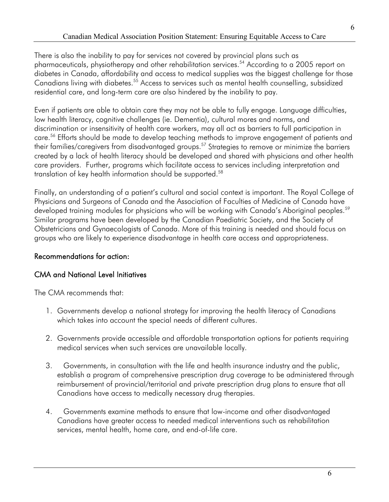residential care, and long-term care are also hindered by the inability to pay. There is also the inability to pay for services not covered by provincial plans such as pharmaceuticals, physiotherapy and other rehabilitation services.<sup>54</sup> According to a 2005 report on diabetes in Canada, affordability and access to medical supplies was the biggest challenge for those Canadians living with diabetes.<sup>55</sup> Access to services such as mental health counselling, subsidized

 Even if patients are able to obtain care they may not be able to fully engage. Language difficulties, discrimination or insensitivity of health care workers, may all act as barriers to full participation in their families/caregivers from disadvantaged groups. [57](#page-15-18) Strategies to remove or minimize the barriers translation of key health information should be supported.[58](#page-15-18)  low health literacy, cognitive challenges (ie. Dementia), cultural mores and norms, and care[. 56](#page-15-18) Efforts should be made to develop teaching methods to improve engagement of patients and created by a lack of health literacy should be developed and shared with physicians and other health care providers. Further, programs which facilitate access to services including interpretation and

 Finally, an understanding of a patient's cultural and social context is important. The Royal College of Physicians and Surgeons of Canada and the Association of Faculties of Medicine of Canada have Similar programs have been developed by the Canadian Paediatric Society, and the Society of developed training modules for physicians who will be working with Canada's Aboriginal peoples.<sup>59</sup> Obstetricians and Gynaecologists of Canada. More of this training is needed and should focus on groups who are likely to experience disadvantage in health care access and appropriateness.

#### Recommendations for action:

#### CMA and National Level Initiatives

The CMA recommends that:

- 1. Governments develop a national strategy for improving the health literacy of Canadians which takes into account the special needs of different cultures.
- 2. Governments provide accessible and affordable transportation options for patients requiring medical services when such services are unavailable locally.
- 3. Governments, in consultation with the life and health insurance industry and the public, establish a program of comprehensive prescription drug coverage to be administered through reimbursement of provincial/territorial and private prescription drug plans to ensure that all Canadians have access to medically necessary drug therapies.
- 4. Governments examine methods to ensure that low-income and other disadvantaged Canadians have greater access to needed medical interventions such as rehabilitation services, mental health, home care, and end-of-life care.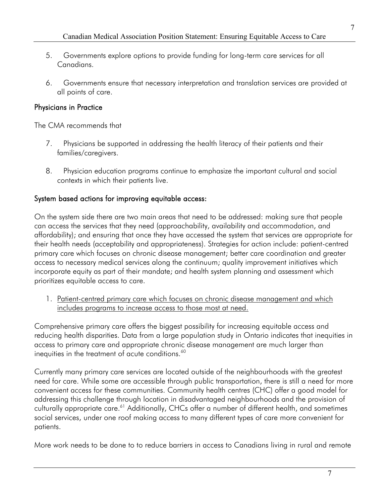- 5. Governments explore options to provide funding for long-term care services for all Canadians.
- 6. Governments ensure that necessary interpretation and translation services are provided at all points of care.

#### Physicians in Practice

The CMA recommends that

- 7. Physicians be supported in addressing the health literacy of their patients and their families/caregivers.
- 8. Physician education programs continue to emphasize the important cultural and social contexts in which their patients live.

#### System based actions for improving equitable access:

On the system side there are two main areas that need to be addressed: making sure that people can access the services that they need (approachability, availability and accommodation, and affordability); and ensuring that once they have accessed the system that services are appropriate for their health needs (acceptability and appropriateness). Strategies for action include: patient-centred primary care which focuses on chronic disease management; better care coordination and greater access to necessary medical services along the continuum; quality improvement initiatives which incorporate equity as part of their mandate; and health system planning and assessment which prioritizes equitable access to care.

1. Patient-centred primary care which focuses on chronic disease management and which includes programs to increase access to those most at need.

inequities in the treatment of acute conditions. $^{60}$ Comprehensive primary care offers the biggest possibility for increasing equitable access and reducing health disparities. Data from a large population study in Ontario indicates that inequities in access to primary care and appropriate chronic disease management are much larger than

 Currently many primary care services are located outside of the neighbourhoods with the greatest convenient access for these communities. Community health centres (CHC) offer a good model for addressing this challenge through location in disadvantaged neighbourhoods and the provision of culturally appropriate care.<sup>61</sup> Additionally, CHCs offer a number of different health, and sometimes need for care. While some are accessible through public transportation, there is still a need for more social services, under one roof making access to many different types of care more convenient for patients.

More work needs to be done to to reduce barriers in access to Canadians living in rural and remote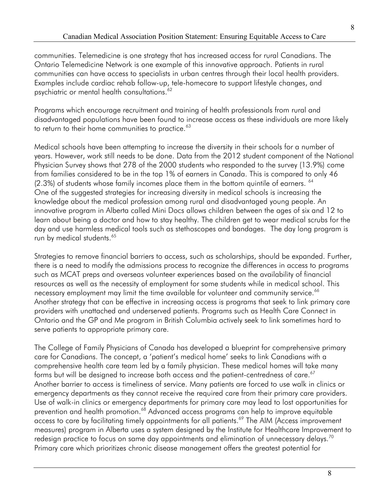communities. Telemedicine is one strategy that has increased access for rural Canadians. The Ontario Telemedicine Network is one example of this innovative approach. Patients in rural communities can have access to specialists in urban centres through their local health providers. Examples include cardiac rehab follow-up, tele-homecare to support lifestyle changes, and psychiatric or mental health consultations.<sup>62</sup>

to return to their home communities to practice. $^{63}$ Programs which encourage recruitment and training of health professionals from rural and disadvantaged populations have been found to increase access as these individuals are more likely

 years. However, work still needs to be done. Data from the 2012 student component of the National Physician Survey shows that 278 of the 2000 students who responded to the survey (13.9%) come  $(2.3%)$  of students whose family incomes place them in the bottom quintile of earners.  $64$ run by medical students.<sup>65</sup> Medical schools have been attempting to increase the diversity in their schools for a number of from families considered to be in the top 1% of earners in Canada. This is compared to only 46 One of the suggested strategies for increasing diversity in medical schools is increasing the knowledge about the medical profession among rural and disadvantaged young people. An innovative program in Alberta called Mini Docs allows children between the ages of six and 12 to learn about being a doctor and how to stay healthy. The children get to wear medical scrubs for the day and use harmless medical tools such as stethoscopes and bandages. The day long program is

necessary employment may limit the time available for volunteer and community service.<sup>66</sup> serve patients to appropriate primary care. Strategies to remove financial barriers to access, such as scholarships, should be expanded. Further, there is a need to modify the admissions process to recognize the differences in access to programs such as MCAT preps and overseas volunteer experiences based on the availability of financial resources as well as the necessity of employment for some students while in medical school. This Another strategy that can be effective in increasing access is programs that seek to link primary care providers with unattached and underserved patients. Programs such as Health Care Connect in Ontario and the GP and Me program in British Columbia actively seek to link sometimes hard to

forms but will be designed to increase both access and the patient-centredness of care. $^{67}$  Another barrier to access is timeliness of service. Many patients are forced to use walk in clinics or redesign practice to focus on same day appointments and elimination of unnecessary delays.<sup>70</sup> The College of Family Physicians of Canada has developed a blueprint for comprehensive primary care for Canadians. The concept, a 'patient's medical home' seeks to link Canadians with a comprehensive health care team led by a family physician. These medical homes will take many emergency departments as they cannot receive the required care from their primary care providers. Use of walk-in clinics or emergency departments for primary care may lead to lost opportunities for prevention and health promotion.<sup>68</sup> Advanced access programs can help to improve equitable access to care by facilitating timely appointments for all patients.<sup>69</sup> The AIM (Access improvement measures) program in Alberta uses a system designed by the Institute for Healthcare Improvement to Primary care which prioritizes chronic disease management offers the greatest potential for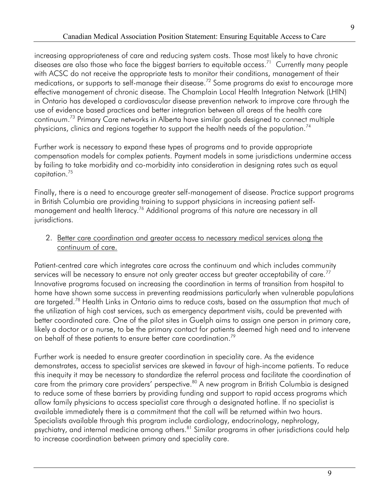diseases are also those who face the biggest barriers to equitable access.<sup>71</sup> Currently many people continuum[.73](#page-16-10) Primary Care networks in Alberta have similar goals designed to connect multiple physicians, clinics and regions together to support the health needs of the population.<sup>74</sup> increasing appropriateness of care and reducing system costs. Those most likely to have chronic with ACSC do not receive the appropriate tests to monitor their conditions, management of their medications, or supports to self-manage their disease.<sup>72</sup> Some programs do exist to encourage more effective management of chronic disease. The Champlain Local Health Integration Network (LHIN) in Ontario has developed a cardiovascular disease prevention network to improve care through the use of evidence based practices and better integration between all areas of the health care

capitation.<sup>75</sup> Further work is necessary to expand these types of programs and to provide appropriate compensation models for complex patients. Payment models in some jurisdictions undermine access by failing to take morbidity and co-morbidity into consideration in designing rates such as equal

management and health literacy. $^{76}$  Additional programs of this nature are necessary in all Finally, there is a need to encourage greater self-management of disease. Practice support programs in British Columbia are providing training to support physicians in increasing patient selfjurisdictions.

2. Better care coordination and greater access to necessary medical services along the continuum of care.

on behalf of these patients to ensure better care coordination.<sup>79</sup> Patient-centred care which integrates care across the continuum and which includes community services will be necessary to ensure not only greater access but greater acceptability of care.<sup>77</sup> Innovative programs focused on increasing the coordination in terms of transition from hospital to home have shown some success in preventing readmissions particularly when vulnerable populations are targeted.<sup>78</sup> Health Links in Ontario aims to reduce costs, based on the assumption that much of the utilization of high cost services, such as emergency department visits, could be prevented with better coordinated care. One of the pilot sites in Guelph aims to assign one person in primary care, likely a doctor or a nurse, to be the primary contact for patients deemed high need and to intervene

 to increase coordination between primary and speciality care. Further work is needed to ensure greater coordination in speciality care. As the evidence demonstrates, access to specialist services are skewed in favour of high-income patients. To reduce this inequity it may be necessary to standardize the referral process and facilitate the coordination of care from the primary care providers' perspective.<sup>80</sup> A new program in British Columbia is designed to reduce some of these barriers by providing funding and support to rapid access programs which allow family physicians to access specialist care through a designated hotline. If no specialist is available immediately there is a commitment that the call will be returned within two hours. Specialists available through this program include cardiology, endocrinology, nephrology, psychiatry, and internal medicine among others.<sup>81</sup> Similar programs in other jurisdictions could help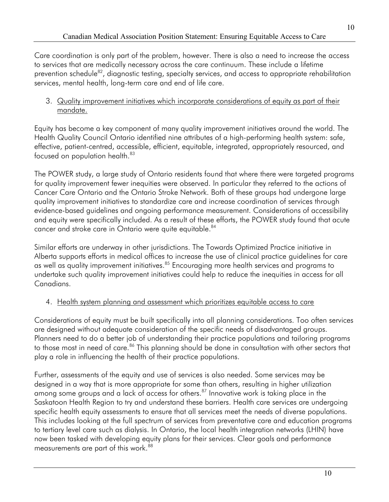Care coordination is only part of the problem, however. There is also a need to increase the access to services that are medically necessary across the care continuum. These include a lifetime prevention schedule<sup>82</sup>, diagnostic testing, specialty services, and access to appropriate rehabilitation services, mental health, long-term care and end of life care.

#### 3. Quality improvement initiatives which incorporate considerations of equity as part of their mandate.

focused on population health.<sup>83</sup> Equity has become a key component of many quality improvement initiatives around the world. The Health Quality Council Ontario identified nine attributes of a high-performing health system: safe, effective, patient-centred, accessible, efficient, equitable, integrated, appropriately resourced, and

The POWER study, a large study of Ontario residents found that where there were targeted programs for quality improvement fewer inequities were observed. In particular they referred to the actions of Cancer Care Ontario and the Ontario Stroke Network. Both of these groups had undergone large quality improvement initiatives to standardize care and increase coordination of services through evidence-based guidelines and ongoing performance measurement. Considerations of accessibility and equity were specifically included. As a result of these efforts, the POWER study found that acute cancer and stroke care in Ontario were quite equitable.<sup>84</sup>

Similar efforts are underway in other jurisdictions. The Towards Optimized Practice initiative in Alberta supports efforts in medical offices to increase the use of clinical practice guidelines for care as well as quality improvement initiatives.<sup>85</sup> Encouraging more health services and programs to undertake such quality improvement initiatives could help to reduce the inequities in access for all Canadians.

#### 4. Health system planning and assessment which prioritizes equitable access to care

 Considerations of equity must be built specifically into all planning considerations. Too often services are designed without adequate consideration of the specific needs of disadvantaged groups. Planners need to do a better job of understanding their practice populations and tailoring programs to those most in need of care.<sup>86</sup> This planning should be done in consultation with other sectors that play a role in influencing the health of their practice populations.

 to tertiary level care such as dialysis. In Ontario, the local health integration networks (LHIN) have measurements are part of this work. $^{88}$ Further, assessments of the equity and use of services is also needed. Some services may be designed in a way that is more appropriate for some than others, resulting in higher utilization among some groups and a lack of access for others.<sup>87</sup> Innovative work is taking place in the Saskatoon Health Region to try and understand these barriers. Health care services are undergoing specific health equity assessments to ensure that all services meet the needs of diverse populations. This includes looking at the full spectrum of services from preventative care and education programs now been tasked with developing equity plans for their services. Clear goals and performance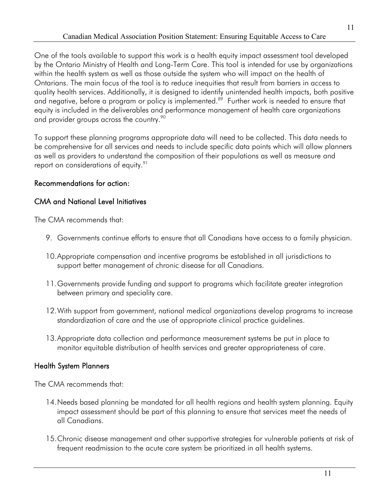and negative, before a program or policy is implemented. $^{89}$  Further work is needed to ensure that One of the tools available to support this work is a health equity impact assessment tool developed by the Ontario Ministry of Health and Long-Term Care. This tool is intended for use by organizations within the health system as well as those outside the system who will impact on the health of Ontarians. The main focus of the tool is to reduce inequities that result from barriers in access to quality health services. Additionally, it is designed to identify unintended health impacts, both positive equity is included in the deliverables and performance management of health care organizations and provider groups across the country.<sup>90</sup>

To support these planning programs appropriate data will need to be collected. This data needs to be comprehensive for all services and needs to include specific data points which will allow planners as well as providers to understand the composition of their populations as well as measure and report on considerations of equity.<sup>91</sup>

#### Recommendations for action:

#### CMA and National Level Initiatives

The CMA recommends that:

- 9. Governments continue efforts to ensure that all Canadians have access to a family physician.
- 10.Appropriate compensation and incentive programs be established in all jurisdictions to support better management of chronic disease for all Canadians.
- between primary and speciality care. 11.Governments provide funding and support to programs which facilitate greater integration
- 12. With support from government, national medical organizations develop programs to increase standardization of care and the use of appropriate clinical practice guidelines.
- monitor equitable distribution of health services and greater appropriateness of care. Health System Planners 13.Appropriate data collection and performance measurement systems be put in place to

#### **Health System Planners**

The CMA recommends that:

- 14.Needs based planning be mandated for all health regions and health system planning. Equity impact assessment should be part of this planning to ensure that services meet the needs of all Canadians. 15.Chronic disease management and other supportive strategies for vulnerable patients at risk of
- frequent readmission to the acute care system be prioritized in all health systems.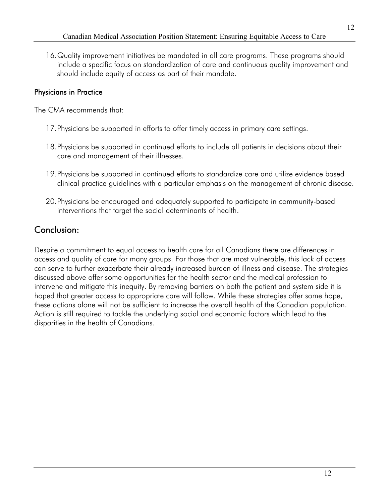16.Quality improvement initiatives be mandated in all care programs. These programs should include a specific focus on standardization of care and continuous quality improvement and should include equity of access as part of their mandate.

#### Physicians in Practice

The CMA recommends that:

- 17.Physicians be supported in efforts to offer timely access in primary care settings.
- 18.Physicians be supported in continued efforts to include all patients in decisions about their care and management of their illnesses.
- 19.Physicians be supported in continued efforts to standardize care and utilize evidence based clinical practice guidelines with a particular emphasis on the management of chronic disease.
- 20.Physicians be encouraged and adequately supported to participate in community-based interventions that target the social determinants of health.

### Conclusion:

 these actions alone will not be sufficient to increase the overall health of the Canadian population. Despite a commitment to equal access to health care for all Canadians there are differences in access and quality of care for many groups. For those that are most vulnerable, this lack of access can serve to further exacerbate their already increased burden of illness and disease. The strategies discussed above offer some opportunities for the health sector and the medical profession to intervene and mitigate this inequity. By removing barriers on both the patient and system side it is hoped that greater access to appropriate care will follow. While these strategies offer some hope, Action is still required to tackle the underlying social and economic factors which lead to the disparities in the health of Canadians.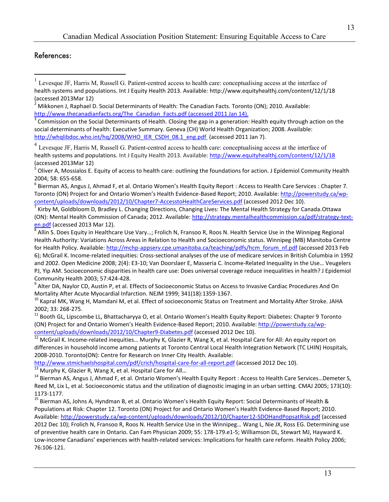#### References:

 $\overline{a}$ 

<span id="page-13-2"></span>http://www.thecanadianfacts.org/The\_Canadian\_Facts.pdf (accessed 2011 Jan 14). [3](http://www.thecanadianfacts.org/The_Canadian_Facts.pdf) Commission on the Social Determinants of Health. Closing the gap in a generation: Health equity through action on the social determinants of health: Executive Summary. Geneva (CH) World Health Organization; 2008. Available: [http://whqlibdoc.who.int/hq/2008/WHO\\_IER\\_CSDH\\_08.1\\_eng.pdf](http://whqlibdoc.who.int/hq/2008/WHO_IER_CSDH_08.1_eng.pdf) (accessed 2011 Jan 7).

<span id="page-13-3"></span> $<sup>4</sup>$  Levesque JF, Harris M, Russell G. Patient-centred access to health care: conceptualising access at the interface of</sup> health systems and populations. Int J Equity Health 2013. Available:<http://www.equityhealthj.com/content/12/1/18> (accessed 2013Mar 12)

<span id="page-13-4"></span>Oliver A, Mossialos E. Equity of access to health care: outlining the foundations for action. J Epidemiol Community Health 2004; 58: 655-658.<br><sup>6</sup> Bierman AS, Angus J, Ahmad F, et al. Ontario Women's Health Equity Report : Access to Health Care Services : Chapter 7.

<span id="page-13-5"></span>Toronto (ON) Project for and Ontario Women's Health Evidence-Based Report; 2010. Available[: http://powerstudy.ca/wp](http://powerstudy.ca/wp-content/uploads/downloads/2012/10/Chapter7-AccesstoHealthCareServices.pdf)[content/uploads/downloads/2012/10/Chapter7-AccesstoHealthCareServices.pdf \(](http://powerstudy.ca/wp-content/uploads/downloads/2012/10/Chapter7-AccesstoHealthCareServices.pdf)accessed 2012 Dec 10).<br><sup>7</sup> Kirby M, Goldbloom D, Bradley L. Changing Directions, Changing Lives: The Mental Health Strategy for Canada.Ottawa

<span id="page-13-6"></span>(ON): Mental Health Commission of Canada; 2012. Available:  $\frac{http://strategy.mentalhealthcommission.ca/pdf/strategy-text-en.pdf}{\text{en.pdf}}$  (accessed 2013 Mar 12).

<span id="page-13-7"></span> and 2002. Open Medicine 2008; 2(4): E3-10; Van Doorslaer E, Masseria C. Income-Related Inequality in the Use… Veugelers Allin S. Does Equity in Healthcare Use Vary…; Frolich N, Fransoo R, Roos N. Health Service Use in the Winnipeg Regional Health Authority: Variations Across Areas in Relation to Health and Socioeconomic status. Winnipeg (MB) Manitoba Centre for Health Policy. Available[: http://mchp-appserv.cpe.umanitoba.ca/teaching/pdfs/hcm\\_forum\\_nf.pdf \(](http://mchp-appserv.cpe.umanitoba.ca/teaching/pdfs/hcm_forum_nf.pdf)accessed 2013 Feb 6); McGrail K. Income-related inequities: Cross-sectional analyses of the use of medicare services in British Columbia in 1992 PJ, Yip AM. Socioeconomic disparities in health care use: Does universal coverage reduce inequalities in health? J Epidemiol Community Health 2003; 57:424-428.<br><sup>9</sup> Alter DA, Naylor CD, Austin P, et al. Effects of Socioeconomic Status on Access to Invasive Cardiac Procedures And On

<span id="page-13-8"></span>Mortality After Acute Myocardial Infarction. NEJM 1999; 341(18):1359-1367.<br><sup>10</sup> Kapral MK, Wang H, Mamdani M, et al. Effect of socioeconomic Status on Treatment and Mortality After Stroke. JAHA

<span id="page-13-9"></span>

2002; 33: 268-275.<br><sup>11</sup> Booth GL, Lipscombe LL, Bhattacharyya O, et al. Ontario Women's Health Equity Report: Diabetes: Chapter 9 Toronto (ON) Project for and Ontario Women's Health Evidence-Based Report; 2010. Available[: http://powerstudy.ca/wp-](http://powerstudy.ca/wp-content/uploads/downloads/2012/10/Chapter9-Diabetes.pdf)

[content/uploads/downloads/2012/10/Chapter9-Diabetes.pdf \(](http://powerstudy.ca/wp-content/uploads/downloads/2012/10/Chapter9-Diabetes.pdf)accessed 20[12](http://powerstudy.ca/wp-content/uploads/downloads/2012/10/Chapter9-Diabetes.pdf) Dec 10).<br><sup>12</sup> McGrail K. Income-related inequities... Murphy K, Glazier R, Wang X, et al. Hospital Care for All: An equity report on differences in household income among patients at Toronto Central Local Health Integration Network (TC LHIN) Hospitals, 2008-2010. Toronto(ON): Centre for Research on Inner City Health. Available:

<http://www.stmichaelshospital.com/pdf/crich/hospital-care-for-all-report.pdf>(accessed 2012 Dec 10).<br><sup>13</sup> Murphy K, Glazier R, Wang X, et al. Hospital Care for All...<br><sup>14</sup> Bierman AS, Angus J, Ahmad F, et al. Ontario Women Reed M, Lix L, et al. Socioeconomic status and the utilization of diagnostic imaging in an urban setting. CMAJ 2005; 173(10):

1173-1177.<br><sup>15</sup> Bierman AS, Johns A, Hyndman B, et al. Ontario Women's Health Equity Report: Social Determinants of Health & Available[: http://powerstudy.ca/wp-content/uploads/downloads/2012/10/Chapter12-SDOHandPopsatRisk.pdf \(](http://powerstudy.ca/wp-content/uploads/downloads/2012/10/Chapter12-SDOHandPopsatRisk.pdf)accessed Populations at Risk: Chapter 12. Toronto (ON) Project for and Ontario Women's Health Evidence-Based Report; 2010. 2012 Dec 10); Frolich N, Fransoo R, Roos N. Health Service Use in the Winnipeg… Wang L, Nie JX, Ross EG. Determining use of preventive health care in Ontario. Can Fam Physician 2009; 55: 178-179.e1-5; Williamson DL, Stewart MJ, Hayward K. Low-income Canadians' experiences with health-related services: Implications for health care reform. Health Policy 2006; 76:106-121.

<span id="page-13-0"></span><sup>&</sup>lt;sup>1</sup> Levesque JF, Harris M, Russell G. Patient-centred access to health care: conceptualising access at the interface of health systems and populations. Int J Equity Health 2013. Available:<http://www.equityhealthj.com/content/12/1/18> (accessed 2013Mar 12)

<span id="page-13-1"></span><sup>2</sup> Mikkonen J, Raphael D. Social Determinants of Health: The Canadian Facts. Toronto (ON); 2010. Available: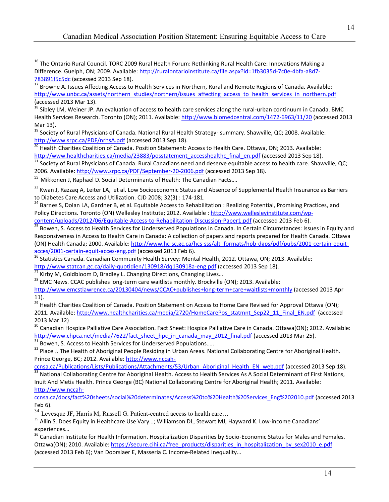<span id="page-14-0"></span> $\overline{a}$ <sup>16</sup> The Ontario Rural Council. TORC 2009 Rural Health Forum: Rethinking Rural Health Care: Innovations Making a Difference. Guelph, ON; 2009. Available[: http://ruralontarioinstitute.ca/file.aspx?id=1fb3035d-7c0e-4bfa-a8d7-](http://ruralontarioinstitute.ca/file.aspx?id=1fb3035d-7c0e-4bfa-a8d7-783891f5c5dc) [783891f5c5dc](http://ruralontarioinstitute.ca/file.aspx?id=1fb3035d-7c0e-4bfa-a8d7-783891f5c5dc) (accessed 2013 Sep 18).<br><sup>17</sup> Browne A. Issues Affecting Access to Health Services in Northern, Rural and Remote Regions of Canada. Available:

<span id="page-14-1"></span>http://www.unbc.ca/assets/northern\_studies/northern/issues\_affecting\_access\_to\_health\_services\_in\_northern.pdf (accessed 2013 Mar 13).

<span id="page-14-2"></span> $^{18}$  Sibley LM, Weiner JP. An evaluation of access to health care services along the rural-urban continuum in Canada. BMC Health Services Research. Toronto (ON); 2011. Available[: http://www.biomedcentral.com/1472-6963/11/20](http://www.biomedcentral.com/1472-6963/11/20) (accessed 2013 Mar 13).

<span id="page-14-3"></span>http://www.srpc.ca/PDF/nrhsA.pdf (accessed 2013 Sep 18). <sup>19</sup> Society of Rural Physicians of Canada. National Rural Health Strategy- summary. Shawville, QC; 2008. Available:

<span id="page-14-4"></span>http://www.srpc.ca/PDF/nrhs-A.pdf (access to Health Care. Ottawa, ON; 2013. Available:<br><sup>20</sup> Health Charities Coalition of Canada. Position Statement: Access to Health Care. Ottawa, ON; 2013. Available:

<span id="page-14-5"></span>http://www.healthcharities.ca/media/23883/posstatement accesshealthc final en.pdf (accessed 2013 Sep 18).<br><sup>21</sup> Society of Rural Physicians of Canada. Rural Canadians need and deserve equitable access to health care. Shawvi 2006. Available[: http://www.srpc.ca/PDF/September-20-2006.pdf](http://www.srpc.ca/PDF/September-20-2006.pdf) (accessed 2013 Sep 18).

<span id="page-14-6"></span> $^{22}$  Mikkonen J, Raphael D. Social Determinants of Health: The Canadian Facts....

<span id="page-14-7"></span><sup>23</sup> Kwan J, Razzaq A, Leiter LA, et al. Low Socioeconomic Status and Absence of Supplemental Health Insurance as Barriers to Diabetes Care Access and Utilization. CJD 2008; 32(3): 174-181.

<span id="page-14-8"></span><sup>24</sup> Barnes S, Dolan LA, Gardner B, et al. Equitable Access to Rehabilitation : Realizing Potential, Promising Practices, and Policy Directions. Toronto (ON) Wellesley Institute; 2012. Available : http://www.wellesleyinstitute.com/wp-<br>content/uploads/2012/06/Equitable-Access-to-Rehabilitation-Discussion-Paper1.pdf (accessed 2013 Feb 6).

<span id="page-14-9"></span><sup>25</sup> Bowen, S. Access to Health Services for Underserved Populations in Canada. In Certain Circumstances: Issues in Equity and Responsiveness in Access to Health Care in Canada: A collection of papers and reports prepared for Health Canada. Ottawa (ON) Health Canada; 2000. Available: http://www.hc-sc.gc.ca/hcs-sss/alt\_formats/hpb-dgps/pdf/pubs/2001-certain-equit-<br>acces/2001-certain-equit-acces-eng.pdf (accessed 2013 Feb 6).<br><sup>26</sup> Statistics Canada. Canadian G

<span id="page-14-10"></span>Statistics Canada. Canadian Community Health Survey: Mental Health, 2012. Ottawa, ON; 2013. Available:

<span id="page-14-12"></span>

<span id="page-14-11"></span><http://www.statcan.gc.ca/daily-quotidien/130918/dq130918a-eng.pdf>(accessed 2013 Sep 18).<br><sup>27</sup> Kirby M, Goldbloom D, Bradley L. Changing Directions, Changing Lives...<br><sup>28</sup> EMC News. CCAC publishes long-term care waitlists

<http://www.emcstlawrence.ca/20130404/news/CCAC+publishes+long-term+care+waitlists+monthly>(accessed 2013 Apr 11).

<span id="page-14-13"></span>2011. Available[: http://www.healthcharities.ca/media/2720/HomeCarePos\\_statmnt\\_Sep22\\_11\\_Final\\_EN.pdf](http://www.healthcharities.ca/media/2720/HomeCarePos_statmnt_Sep22_11_Final_EN.pdf) (accessed <sup>29</sup> Health Charities Coalition of Canada. Position Statement on Access to Home Care Revised for Approval Ottawa (ON); 2013 Mar 12)

<sup>30</sup> Canadian Hospice Palliative Care Association. Fact Sheet: Hospice Palliative Care in Canada. Ottawa(ON); 2012. Available: http://www.chpca.net/media/7622/fact sheet hpc in canada may 2012 final.pdf (accessed 2013 Mar 25).<br><sup>31</sup> Bowen, S. Access to Health Services for Underserved Populations.....<br><sup>32</sup> Place J. The Health of Aboriginal People Re

Prince George, BC; 2012. Available: http://www.nccah-<br>
ccnsa.ca/Publications/Lists/Publications/Attachments/53/Urban Aboriginal Health EN web.pdf (accessed 2013 Sep 18).

<sup>33</sup> National Collaborating Centre for Aboriginal Health. Access to Health Services As A Social Determinant of First Nations, Inuit And Metis Health. Prince George (BC) National Collaborating Centre for Aboriginal Health; 2011. Available: [http://www.nccah-](http://www.nccah-ccnsa.ca/docs/fact%20sheets/social%20determinates/Access%20to%20Health%20Services_Eng%202010.pdf)

[ccnsa.ca/docs/fact%20sheets/social%20determinates/Access%20to%20Health%20Services\\_Eng%202010.pdf \(](http://www.nccah-ccnsa.ca/docs/fact%20sheets/social%20determinates/Access%20to%20Health%20Services_Eng%202010.pdf)accessed 2013 Feb 6).

 $34$  Levesque JF, Harris M, Russell G. Patient-centred access to health care...

<sup>35</sup> Allin S. Does Equity in Healthcare Use Vary...; Williamson DL, Stewart MJ, Hayward K. Low-income Canadians' experiences…

<sup>36</sup> Canadian Institute for Health Information. Hospitalization Disparities by Socio-Economic Status for Males and Females. Ottawa(ON); 2010. Available: https://secure.cihi.ca/free\_products/disparities\_in\_hospitalization\_by\_sex2010\_e.pdf (accessed 2013 Feb 6); Van Doorslaer E, Masseria C. Income-Related Inequality…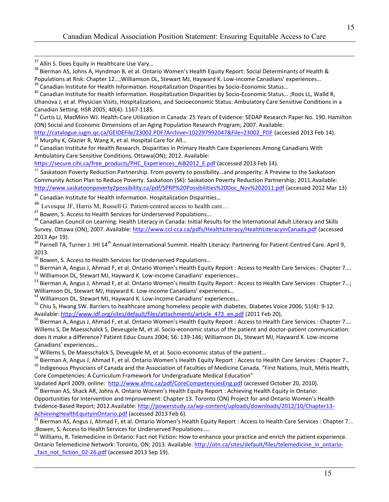<span id="page-15-0"></span> $\overline{a}$ 

<span id="page-15-1"></span><sup>38</sup> Bierman AS, Johns A, Hyndman B, et al. Ontario Women's Health Equity Report: Social Determinants of Health &<br>Populations at Risk: Chapter 12...;Williamson DL, Stewart MJ, Hayward K. Low-income Canadians' experiences..

<span id="page-15-3"></span><span id="page-15-2"></span> $39$  Canadian Institute for Health Information. Hospitalization Disparities by Socio-Economic Status...<br><sup>40</sup> Canadian Institute for Health Information. Hospitalization Disparities by Socio-Economic Status... ;Roos LL, Wal Uhanova J, et al. Physician Visits, Hospitalizations, and Socioeconomic Status: Ambulatory Care Sensitive Conditions in a Canadian Setting. HSR 2005; 40(4): 1167-1185.<br><sup>41</sup> Curtis LJ, MacMinn WJ. Health-Care Utilization in Canada: 25 Years of Evidence: SEDAP Research Paper No. 190. Hamilton

<span id="page-15-4"></span>(ON) Social and Economic Dimensions of an Aging Population Research Program; 2007. Available:

[http://catalogue.iugm.qc.ca/GEIDEFile/23002.PDF?Archive=102297992047&File=23002\\_PDF \(](http://catalogue.iugm.qc.ca/GEIDEFile/23002.PDF?Archive=102297992047&File=23002_PDF)accessed 2013 Feb 14).<br><sup>42</sup> Murphy K, Glazier R, Wang X, et al. Hospital Care for All...<br><sup>43</sup> Canadian Institute for Health Research. Dis

<span id="page-15-5"></span>

<span id="page-15-6"></span>Ambulatory Care Sensitive Conditions. Ottawa(ON); 2012. Available:

[https://secure.cihi.ca/free\\_products/PHC\\_Experiences\\_AiB2012\\_E.pdf \(](https://secure.cihi.ca/free_products/PHC_Experiences_AiB2012_E.pdf)accessed 2013 Feb 14).

<span id="page-15-7"></span> $^{44}$  Saskatoon Poverty Reduction Partnership. From poverty to possibility...and prosperity: A Preview to the Saskatoon Community Action Plan to Reduce Poverty*.* Saskatoon (SK): Saskatoon Poverty Reduction Partnership; 2011*.*Available: [http://www.saskatoonpoverty2possibility.ca/pdf/SPRP%20Possibilities%20Doc\\_Nov%202011.pdf](http://www.saskatoonpoverty2possibility.ca/pdf/SPRP%20Possibilities%20Doc_Nov%202011.pdf) (accessed 2012 Mar 13)

<span id="page-15-9"></span><span id="page-15-8"></span><sup>45</sup> Canadian Institute for Health Information. Hospitalization Disparities...

 $^{46}$  Levesque JF, Harris M, Russell G. Patient-centred access to health care...

<span id="page-15-11"></span><span id="page-15-10"></span>Survey. Ottawa (ON); 2007. Available:<http://www.ccl-cca.ca/pdfs/HealthLiteracy/HealthLiteracyinCanada.pdf>(accessed <sup>47</sup> Bowen, S. Access to Health Services for Underserved Populations...<br><sup>48</sup> Canadian Council on Learning. Health Literacy in Canada: Initial Results for the International Adult Literacy and Skills 2013 Apr 19).

<span id="page-15-12"></span> $^{49}$  Parnell TA, Turner J. IHI 14<sup>th</sup> Annual International Summit. Health Literacy: Partnering for Patient-Centred Care. April 9,

<span id="page-15-13"></span>2013.<br> $^{50}$  Bowen, S. Access to Health Services for Underserved Populations...

<span id="page-15-15"></span><span id="page-15-14"></span><sup>51</sup> Bierman A, Angus J, Ahmad F, et al. Ontario Women's Health Equity Report : Access to Health Care Services : Chapter 7....<br><sup>52</sup> Williamson DL, Stewart MJ, Hayward K. Low-income Canadians' experiences...<br><sup>53</sup> Bierman A,

<span id="page-15-16"></span>

<span id="page-15-18"></span><span id="page-15-17"></span>

Available: http://www.idf.org/sites/default/files/attachments/article 473 en.pdf (2011 Feb 20), Williamson DL, Stewart MJ, Hayward K. Low-income Canadians' experiences...<br><sup>54</sup> Williamson DL, Stewart MJ, Hayward K. Low-income Canadians' experiences...<br><sup>55</sup> Chiu S, Hwang SW. Barriers to healthcare among homeless people

Available: <u>http://www.idf.org/sites/default/files/attachments/article\_473\_en.pdf</u> (2011 Feb 20),<br><sup>56</sup> Bierman A, Angus J, Ahmad F, et al. Ontario Women's Health Equity Report : Access to Health Care Services : Chapter 7…. Willems S, De Maesschalck S, Deveugele M, et al. Socio-economic status of the patient and doctor-patient communication: does it make a difference? Patient Educ Couns 2004; 56: 139-146; Williamson DL, Stewart MJ, Hayward K. Low-income Canadians' experiences...<br>
<sup>57</sup> Willems S, De Maesschalck S, Deveugele M, et al. Socio-economic status of the patient...

<sup>58</sup> Bierman A, Angus J, Ahmad F, et al. Ontario Women's Health Equity Report : Access to Health Care Services : Chapter 7...<br><sup>59</sup> Indigenous Physicians of Canada and the Association of Faculties of Medicine Canada, "First

Core Competencies: A Curriculum Framework for Undergraduate Medical Education"

Updated April 2009, online: http://www.afmc.ca/pdf/CoreCompetenciesEng.pdf (accessed October 20, 2010).

 $^{60}$  Bierman AS, Shack AR, Johns A. Ontario Women's Health Equity Report : Achieving Health Equity in Ontario: Opportunities for Intervention and Improvement: Chapter 13. Toronto (ON) Project for and Ontario Women's Health Evidence-Based Report; 2012.Available: [http://powerstudy.ca/wp-content/uploads/downloads/2012/10/Chapter13-](http://powerstudy.ca/wp-content/uploads/downloads/2012/10/Chapter13-AchievingHealthEquityinOntario.pdf)

<u>AchievingHealthEquityinOntario.pdf</u> (accessed 2013 Feb 6).<br><sup>61</sup> Bierman AS, Angus J, Ahmad F, et al. Ontario Women's Health Equity Report : Access to Health Care Services : Chapter 7... ;Bowen, S. Access to Health Services for Underserved Populations…..

 $62$  Williams, R. Telemedicine in Ontario: Fact not Fiction: How to enhance your practice and enrich the patient experience. Ontario Telemedicine Network: Toronto, ON; 2013. Available: [http://otn.ca/sites/default/files/telemedicine\\_in\\_ontario](http://otn.ca/sites/default/files/telemedicine_in_ontario-_fact_not_fiction_02-26.pdf) fact\_not\_fiction\_02-26.pdf (accessed 2013 Sep 19).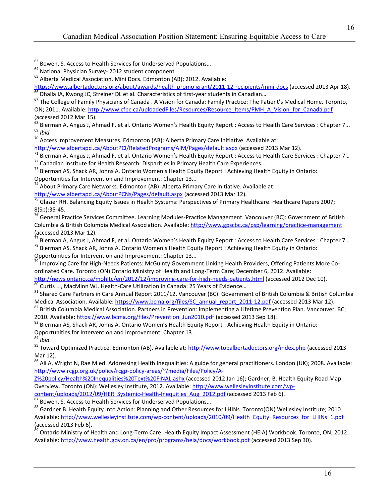<span id="page-16-4"></span><span id="page-16-3"></span><sup>66</sup> Dhalla IA, Kwong JC, Streiner DL et al. Characteristics of first-year students in Canadian...<br><sup>67</sup> The College of Family Physicians of Canada . A Vision for Canada: Family Practice: The Patient's Medical Home. Toronto ON; 2011. Available: http://www.cfpc.ca/uploadedFiles/Resources/Resource\_Items/PMH\_A\_Vision\_for\_Canada.pdf (accessed 2012 Mar 15).

<span id="page-16-6"></span><span id="page-16-5"></span><sup>68</sup> Bierman A, Angus J, Ahmad F, et al. Ontario Women's Health Equity Report : Access to Health Care Services : Chapter 7…<br><sup>69</sup> Ibid<br><sup>70</sup> Access Improvement Measures. Edmonton (AB): Alberta Primary Care Initiative. Availa  $^{69}$  *Ibid*<br><sup>70</sup> Access Improvement Measures. Edmonton (AB): Alberta Primary Care Initiative. Available at:

<span id="page-16-7"></span>

<span id="page-16-8"></span><http://www.albertapci.ca/AboutPCI/RelatedPrograms/AIM/Pages/default.aspx>(accessed 2013 Mar 12).<br><sup>71</sup> Bierman A, Angus J, Ahmad F, et al. Ontario Women's Health Equity Report : Access to Health Care Services : Chapter 7...

<span id="page-16-10"></span><span id="page-16-9"></span>

Opportunities for Intervention and Improvement: Chapter 13...

<span id="page-16-11"></span> $74$  About Primary Care Networks. Edmonton (AB): Alberta Primary Care Initiative. Available at:

<span id="page-16-12"></span><http://www.albertapci.ca/AboutPCNs/Pages/default.aspx>(accessed 2013 Mar 12).<br><sup>75</sup> Glazier RH. Balancing Equity Issues in Health Systems: Perspectives of Primary Healthcare. Healthcare Papers 2007; 8(Sp):35-45.<br><sup>76</sup> General Practice Services Committee. Learning Modules-Practice Management. Vancouver (BC): Government of British

<span id="page-16-13"></span>Columbia & British Columbia Medical Association. Available:<http://www.gpscbc.ca/psp/learning/practice-management> (accessed 2013 Mar 12).

<span id="page-16-15"></span><span id="page-16-14"></span>Bierman A, Angus J, Ahmad F, et al. Ontario Women's Health Equity Report : Access to Health Care Services : Chapter 7... <sup>78</sup> Bierman AS, Shack AR, Johns A. Ontario Women's Health Equity Report : Achieving Health Equity in Ontario: Opportunities for Intervention and Improvement: Chapter 13...

<span id="page-16-16"></span><sup>79</sup> Improving Care for High-Needs Patients: McGuinty Government Linking Health Providers, Offering Patients More Coordinated Care. Toronto (ON) Ontario Ministry of Health and Long-Term Care; December 6, 2012. Available:

<http://news.ontario.ca/mohltc/en/2012/12/improving-care-for-high-needs-patients.html>(accessed 2012 Dec 10).<br><sup>80</sup> Curtis LJ, MacMinn WJ. Health-Care Utilization in Canada: 25 Years of Evidence...<br><sup>81</sup> Shared Care Partners

<span id="page-16-18"></span><span id="page-16-17"></span>Medical Association. Available: https://www.bcma.org/files/SC annual report 2011-12.pdf (accessed 2013 Mar 12).<br><sup>82</sup> British Columbia Medical Association. Partners in Prevention: Implementing a Lifetime Prevention Plan. Va

<span id="page-16-19"></span>2010. Available[: https://www.bcma.org/files/Prevention\\_Jun2010.pdf \(](https://www.bcma.org/files/Prevention_Jun2010.pdf)accessed 2013 Sep 18). 83 Bierman AS, Shack AR, Johns A. Ontario Women's Health Equity Report : Achieving Health Equity in Ontario:

Opportunities for Intervention and Improvement: Chapter 13…

 $84$  Ibid.

<sup>85</sup> Toward Optimized Practice. Edmonton (AB). Available at: [http://www.topalbertadoctors.org/index.php \(](http://www.topalbertadoctors.org/index.php)accessed 2013 Mar 12).

<sup>86</sup> Ali A, Wright N, Rae M ed. Addressing Health Inequalities: A guide for general practitioners. London (UK); 2008. Available: [http://www.rcgp.org.uk/policy/rcgp-policy-areas/~/media/Files/Policy/A-](http://www.rcgp.org.uk/policy/rcgp-policy-areas/~/media/Files/Policy/A-Z%20policy/Health%20Inequalities%20Text%20FINAL.ashx)

[Z%20policy/Health%20Inequalities%20Text%20FINAL.ashx \(](http://www.rcgp.org.uk/policy/rcgp-policy-areas/~/media/Files/Policy/A-Z%20policy/Health%20Inequalities%20Text%20FINAL.ashx)accessed 2012 Jan 16); Gardner, B. Health Equity Road Map Overview. Toronto (ON): Wellesley Institute, 2012. Available: http://www.wellesleyinstitute.com/wp-<br>content/uploads/2012/09/HER Systemic-Health-Inequities Aug 2012.pdf (accessed 2013 Feb 6).

 $\frac{87}{87}$  Bowen, S. Access to Health Services for Underserved Populations...<br> $\frac{88}{87}$  Gardner B. Health Equity Into Action: Planning and Other Resources for LHINs. Toronto(ON) Wellesley Institute; 2010. Available[: http://www.wellesleyinstitute.com/wp-content/uploads/2010/09/Health\\_Equity\\_Resources\\_for\\_LHINs\\_1.pdf](http://www.wellesleyinstitute.com/wp-content/uploads/2010/09/Health_Equity_Resources_for_LHINs_1.pdf)  (accessed 2013 Feb 6).

89 Ontario Ministry of Health and Long-Term Care. Health Equity Impact Assessment (HEIA) Workbook. Toronto, ON; 2012. Available[: http://www.health.gov.on.ca/en/pro/programs/heia/docs/workbook.pdf \(](http://www.health.gov.on.ca/en/pro/programs/heia/docs/workbook.pdf)accessed 2013 Sep 30).

<span id="page-16-0"></span><sup>&</sup>lt;sup>63</sup> Bowen, S. Access to Health Services for Underserved Populations...

<span id="page-16-2"></span><span id="page-16-1"></span><sup>&</sup>lt;sup>64</sup> National Physician Survey- 2012 student component<br><sup>65</sup> Alberta Medical Association. Mini Docs. Edmonton (AB); 2012. Available:<br>https://www.albertadoctors.org/about/awards/health-promo-grant/2011-12-recipients/mini-doc